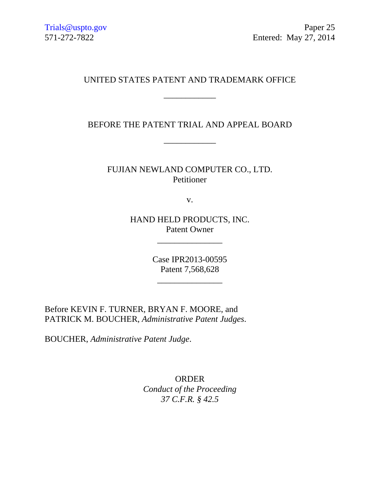## UNITED STATES PATENT AND TRADEMARK OFFICE

\_\_\_\_\_\_\_\_\_\_\_\_

BEFORE THE PATENT TRIAL AND APPEAL BOARD

\_\_\_\_\_\_\_\_\_\_\_\_

FUJIAN NEWLAND COMPUTER CO., LTD. Petitioner

v.

HAND HELD PRODUCTS, INC. Patent Owner

\_\_\_\_\_\_\_\_\_\_\_\_\_\_\_

Case IPR2013-00595 Patent 7,568,628

\_\_\_\_\_\_\_\_\_\_\_\_\_\_\_

Before KEVIN F. TURNER, BRYAN F. MOORE, and PATRICK M. BOUCHER, *Administrative Patent Judges*.

BOUCHER, *Administrative Patent Judge*.

ORDER *Conduct of the Proceeding 37 C.F.R. § 42.5*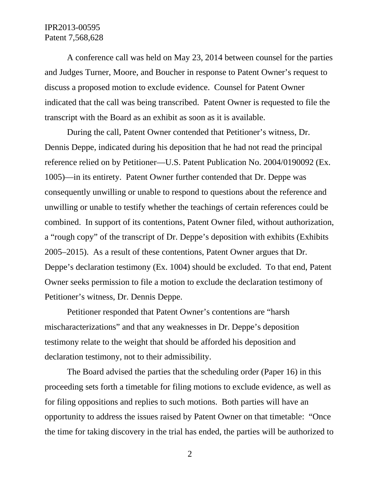## IPR2013-00595 Patent 7,568,628

A conference call was held on May 23, 2014 between counsel for the parties and Judges Turner, Moore, and Boucher in response to Patent Owner's request to discuss a proposed motion to exclude evidence. Counsel for Patent Owner indicated that the call was being transcribed. Patent Owner is requested to file the transcript with the Board as an exhibit as soon as it is available.

During the call, Patent Owner contended that Petitioner's witness, Dr. Dennis Deppe, indicated during his deposition that he had not read the principal reference relied on by Petitioner—U.S. Patent Publication No. 2004/0190092 (Ex. 1005)—in its entirety. Patent Owner further contended that Dr. Deppe was consequently unwilling or unable to respond to questions about the reference and unwilling or unable to testify whether the teachings of certain references could be combined. In support of its contentions, Patent Owner filed, without authorization, a "rough copy" of the transcript of Dr. Deppe's deposition with exhibits (Exhibits 2005–2015). As a result of these contentions, Patent Owner argues that Dr. Deppe's declaration testimony (Ex. 1004) should be excluded. To that end, Patent Owner seeks permission to file a motion to exclude the declaration testimony of Petitioner's witness, Dr. Dennis Deppe.

Petitioner responded that Patent Owner's contentions are "harsh mischaracterizations" and that any weaknesses in Dr. Deppe's deposition testimony relate to the weight that should be afforded his deposition and declaration testimony, not to their admissibility.

The Board advised the parties that the scheduling order (Paper 16) in this proceeding sets forth a timetable for filing motions to exclude evidence, as well as for filing oppositions and replies to such motions. Both parties will have an opportunity to address the issues raised by Patent Owner on that timetable: "Once the time for taking discovery in the trial has ended, the parties will be authorized to

2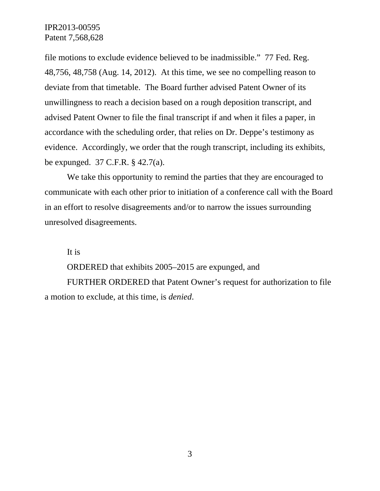IPR2013-00595 Patent 7,568,628

file motions to exclude evidence believed to be inadmissible." 77 Fed. Reg. 48,756, 48,758 (Aug. 14, 2012). At this time, we see no compelling reason to deviate from that timetable. The Board further advised Patent Owner of its unwillingness to reach a decision based on a rough deposition transcript, and advised Patent Owner to file the final transcript if and when it files a paper, in accordance with the scheduling order, that relies on Dr. Deppe's testimony as evidence. Accordingly, we order that the rough transcript, including its exhibits, be expunged. 37 C.F.R. § 42.7(a).

We take this opportunity to remind the parties that they are encouraged to communicate with each other prior to initiation of a conference call with the Board in an effort to resolve disagreements and/or to narrow the issues surrounding unresolved disagreements.

It is

ORDERED that exhibits 2005–2015 are expunged, and

FURTHER ORDERED that Patent Owner's request for authorization to file a motion to exclude, at this time, is *denied*.